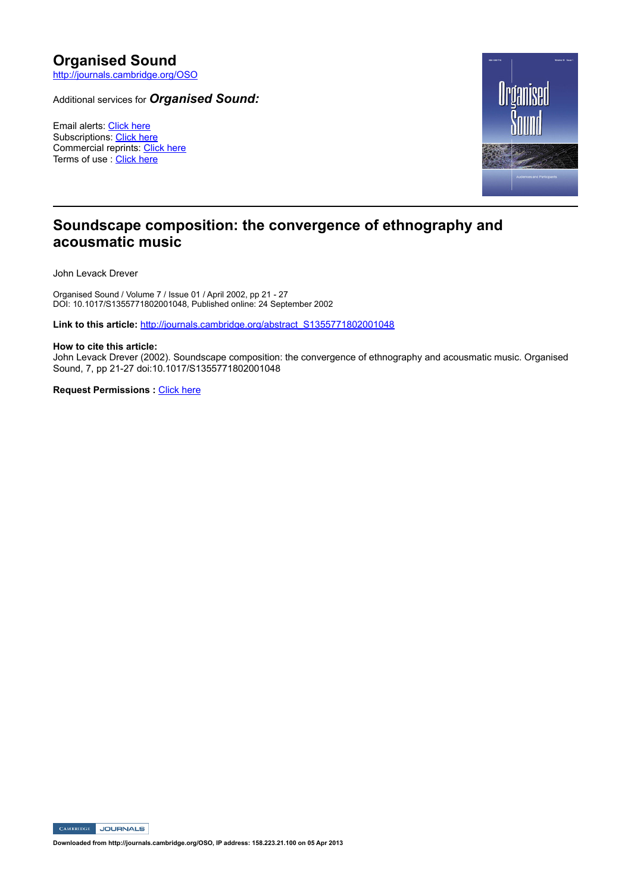# **Organised Sound**

http://journals.cambridge.org/OSO

Additional services for *Organised Sound:*

Email alerts: Click here Subscriptions: Click here Commercial reprints: Click here Terms of use : Click here



# **Soundscape composition: the convergence of ethnography and acousmatic music**

John Levack Drever

Organised Sound / Volume 7 / Issue 01 / April 2002, pp 21 27 DOI: 10.1017/S1355771802001048, Published online: 24 September 2002

Link to this article: http://journals.cambridge.org/abstract\_S1355771802001048

#### **How to cite this article:**

John Levack Drever (2002). Soundscape composition: the convergence of ethnography and acousmatic music. Organised Sound, 7, pp 21-27 doi:10.1017/S1355771802001048

**Request Permissions : Click here** 

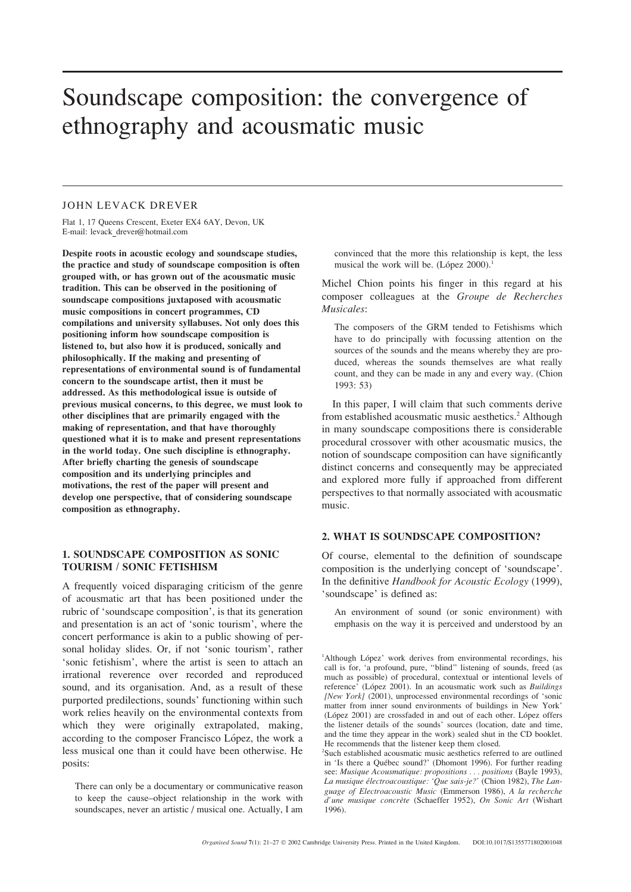# Soundscape composition: the convergence of ethnography and acousmatic music

#### JOHN LEVACK DREVER

Flat 1, 17 Queens Crescent, Exeter EX4 6AY, Devon, UK E-mail: levack drever@hotmail.com

**Despite roots in acoustic ecology and soundscape studies, the practice and study of soundscape composition is often grouped with, or has grown out of the acousmatic music tradition. This can be observed in the positioning of soundscape compositions juxtaposed with acousmatic music compositions in concert programmes, CD compilations and university syllabuses. Not only does this positioning inform how soundscape composition is listened to, but also how it is produced, sonically and philosophically. If the making and presenting of representations of environmental sound is of fundamental concern to the soundscape artist, then it must be addressed. As this methodological issue is outside of previous musical concerns, to this degree, we must look to other disciplines that are primarily engaged with the making of representation, and that have thoroughly questioned what it is to make and present representations in the world today. One such discipline is ethnography. After briefly charting the genesis of soundscape composition and its underlying principles and motivations, the rest of the paper will present and develop one perspective, that of considering soundscape composition as ethnography.**

# **1. SOUNDSCAPE COMPOSITION AS SONIC TOURISM / SONIC FETISHISM**

A frequently voiced disparaging criticism of the genre of acousmatic art that has been positioned under the rubric of 'soundscape composition', is that its generation and presentation is an act of 'sonic tourism', where the concert performance is akin to a public showing of personal holiday slides. Or, if not 'sonic tourism', rather 'sonic fetishism', where the artist is seen to attach an irrational reverence over recorded and reproduced sound, and its organisation. And, as a result of these purported predilections, sounds' functioning within such work relies heavily on the environmental contexts from which they were originally extrapolated, making, according to the composer Francisco López, the work a less musical one than it could have been otherwise. He posits:

There can only be a documentary or communicative reason to keep the cause–object relationship in the work with soundscapes, never an artistic / musical one. Actually, I am

convinced that the more this relationship is kept, the less musical the work will be.  $(López 2000).<sup>1</sup>$ 

Michel Chion points his finger in this regard at his composer colleagues at the *Groupe de Recherches Musicales*:

The composers of the GRM tended to Fetishisms which have to do principally with focussing attention on the sources of the sounds and the means whereby they are produced, whereas the sounds themselves are what really count, and they can be made in any and every way. (Chion 1993: 53)

In this paper, I will claim that such comments derive from established acousmatic music aesthetics.<sup>2</sup> Although in many soundscape compositions there is considerable procedural crossover with other acousmatic musics, the notion of soundscape composition can have significantly distinct concerns and consequently may be appreciated and explored more fully if approached from different perspectives to that normally associated with acousmatic music.

### **2. WHAT IS SOUNDSCAPE COMPOSITION?**

Of course, elemental to the definition of soundscape composition is the underlying concept of 'soundscape'. In the definitive *Handbook for Acoustic Ecology* (1999), 'soundscape' is defined as:

An environment of sound (or sonic environment) with emphasis on the way it is perceived and understood by an

<sup>&</sup>lt;sup>1</sup>Although López' work derives from environmental recordings, his call is for, 'a profound, pure, ''blind'' listening of sounds, freed (as much as possible) of procedural, contextual or intentional levels of reference<sup>5</sup> (López 2001). In an acousmatic work such as *Buildings [New York]* (2001), unprocessed environmental recordings of 'sonic matter from inner sound environments of buildings in New York' (López 2001) are crossfaded in and out of each other. López offers the listener details of the sounds' sources (location, date and time, and the time they appear in the work) sealed shut in the CD booklet. He recommends that the listener keep them closed.

<sup>2</sup> Such established acousmatic music aesthetics referred to are outlined in 'Is there a Québec sound?' (Dhomont 1996). For further reading see: *Musique Acousmatique: propositions . . . positions* (Bayle 1993), La musique électroacoustique: 'Que sais-je?' (Chion 1982), *The Language of Electroacoustic Music* (Emmerson 1986), *A la recherche d'une musique concre`te* (Schaeffer 1952), *On Sonic Art* (Wishart 1996).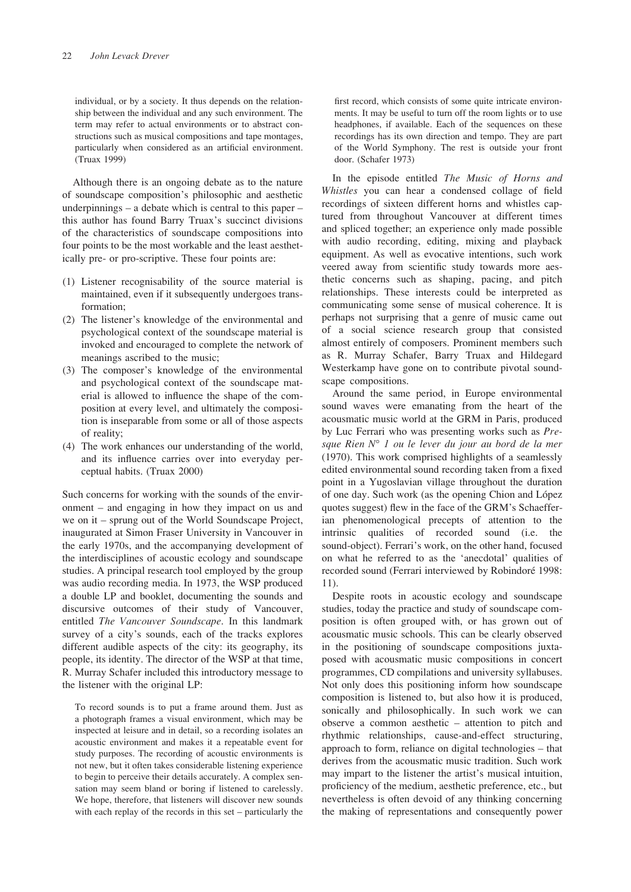individual, or by a society. It thus depends on the relationship between the individual and any such environment. The term may refer to actual environments or to abstract constructions such as musical compositions and tape montages, particularly when considered as an artificial environment. (Truax 1999)

Although there is an ongoing debate as to the nature of soundscape composition's philosophic and aesthetic underpinnings – a debate which is central to this paper – this author has found Barry Truax's succinct divisions of the characteristics of soundscape compositions into four points to be the most workable and the least aesthetically pre- or pro-scriptive. These four points are:

- (1) Listener recognisability of the source material is maintained, even if it subsequently undergoes transformation;
- (2) The listener's knowledge of the environmental and psychological context of the soundscape material is invoked and encouraged to complete the network of meanings ascribed to the music;
- (3) The composer's knowledge of the environmental and psychological context of the soundscape material is allowed to influence the shape of the composition at every level, and ultimately the composition is inseparable from some or all of those aspects of reality;
- (4) The work enhances our understanding of the world, and its influence carries over into everyday perceptual habits. (Truax 2000)

Such concerns for working with the sounds of the environment – and engaging in how they impact on us and we on it – sprung out of the World Soundscape Project, inaugurated at Simon Fraser University in Vancouver in the early 1970s, and the accompanying development of the interdisciplines of acoustic ecology and soundscape studies. A principal research tool employed by the group was audio recording media. In 1973, the WSP produced a double LP and booklet, documenting the sounds and discursive outcomes of their study of Vancouver, entitled *The Vancouver Soundscape*. In this landmark survey of a city's sounds, each of the tracks explores different audible aspects of the city: its geography, its people, its identity. The director of the WSP at that time, R. Murray Schafer included this introductory message to the listener with the original LP:

To record sounds is to put a frame around them. Just as a photograph frames a visual environment, which may be inspected at leisure and in detail, so a recording isolates an acoustic environment and makes it a repeatable event for study purposes. The recording of acoustic environments is not new, but it often takes considerable listening experience to begin to perceive their details accurately. A complex sensation may seem bland or boring if listened to carelessly. We hope, therefore, that listeners will discover new sounds with each replay of the records in this set – particularly the

first record, which consists of some quite intricate environments. It may be useful to turn off the room lights or to use headphones, if available. Each of the sequences on these recordings has its own direction and tempo. They are part of the World Symphony. The rest is outside your front door. (Schafer 1973)

In the episode entitled *The Music of Horns and Whistles* you can hear a condensed collage of field recordings of sixteen different horns and whistles captured from throughout Vancouver at different times and spliced together; an experience only made possible with audio recording, editing, mixing and playback equipment. As well as evocative intentions, such work veered away from scientific study towards more aesthetic concerns such as shaping, pacing, and pitch relationships. These interests could be interpreted as communicating some sense of musical coherence. It is perhaps not surprising that a genre of music came out of a social science research group that consisted almost entirely of composers. Prominent members such as R. Murray Schafer, Barry Truax and Hildegard Westerkamp have gone on to contribute pivotal soundscape compositions.

Around the same period, in Europe environmental sound waves were emanating from the heart of the acousmatic music world at the GRM in Paris, produced by Luc Ferrari who was presenting works such as *Presque Rien N*° *1 ou le lever du jour au bord de la mer* (1970). This work comprised highlights of a seamlessly edited environmental sound recording taken from a fixed point in a Yugoslavian village throughout the duration of one day. Such work (as the opening Chion and López quotes suggest) flew in the face of the GRM's Schaefferian phenomenological precepts of attention to the intrinsic qualities of recorded sound (i.e. the sound-object). Ferrari's work, on the other hand, focused on what he referred to as the 'anecdotal' qualities of recorded sound (Ferrari interviewed by Robindoré 1998: 11).

Despite roots in acoustic ecology and soundscape studies, today the practice and study of soundscape composition is often grouped with, or has grown out of acousmatic music schools. This can be clearly observed in the positioning of soundscape compositions juxtaposed with acousmatic music compositions in concert programmes, CD compilations and university syllabuses. Not only does this positioning inform how soundscape composition is listened to, but also how it is produced, sonically and philosophically. In such work we can observe a common aesthetic – attention to pitch and rhythmic relationships, cause-and-effect structuring, approach to form, reliance on digital technologies – that derives from the acousmatic music tradition. Such work may impart to the listener the artist's musical intuition, proficiency of the medium, aesthetic preference, etc., but nevertheless is often devoid of any thinking concerning the making of representations and consequently power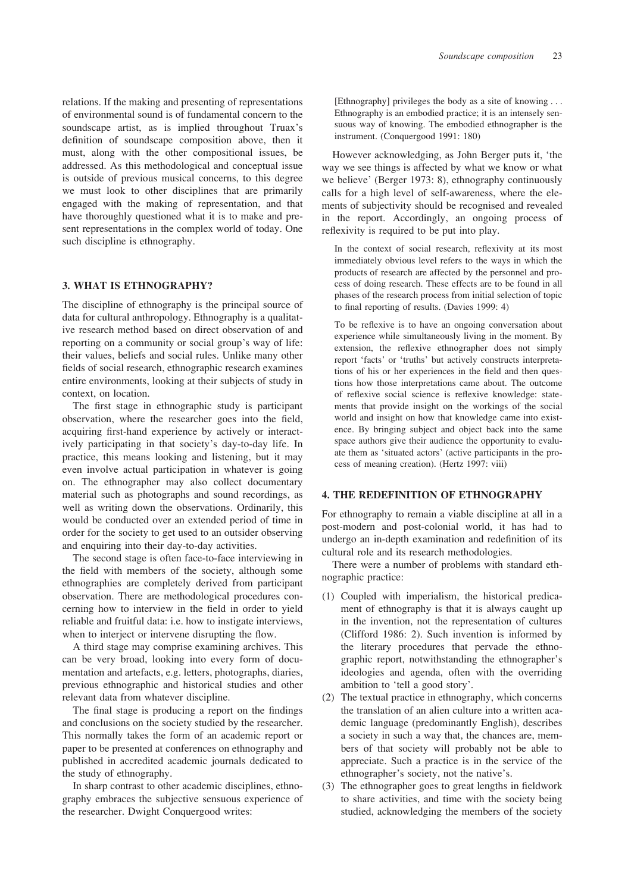relations. If the making and presenting of representations of environmental sound is of fundamental concern to the soundscape artist, as is implied throughout Truax's definition of soundscape composition above, then it must, along with the other compositional issues, be addressed. As this methodological and conceptual issue is outside of previous musical concerns, to this degree we must look to other disciplines that are primarily engaged with the making of representation, and that have thoroughly questioned what it is to make and present representations in the complex world of today. One such discipline is ethnography.

### **3. WHAT IS ETHNOGRAPHY?**

The discipline of ethnography is the principal source of data for cultural anthropology. Ethnography is a qualitative research method based on direct observation of and reporting on a community or social group's way of life: their values, beliefs and social rules. Unlike many other fields of social research, ethnographic research examines entire environments, looking at their subjects of study in context, on location.

The first stage in ethnographic study is participant observation, where the researcher goes into the field, acquiring first-hand experience by actively or interactively participating in that society's day-to-day life. In practice, this means looking and listening, but it may even involve actual participation in whatever is going on. The ethnographer may also collect documentary material such as photographs and sound recordings, as well as writing down the observations. Ordinarily, this would be conducted over an extended period of time in order for the society to get used to an outsider observing and enquiring into their day-to-day activities.

The second stage is often face-to-face interviewing in the field with members of the society, although some ethnographies are completely derived from participant observation. There are methodological procedures concerning how to interview in the field in order to yield reliable and fruitful data: i.e. how to instigate interviews, when to interject or intervene disrupting the flow.

A third stage may comprise examining archives. This can be very broad, looking into every form of documentation and artefacts, e.g. letters, photographs, diaries, previous ethnographic and historical studies and other relevant data from whatever discipline.

The final stage is producing a report on the findings and conclusions on the society studied by the researcher. This normally takes the form of an academic report or paper to be presented at conferences on ethnography and published in accredited academic journals dedicated to the study of ethnography.

In sharp contrast to other academic disciplines, ethnography embraces the subjective sensuous experience of the researcher. Dwight Conquergood writes:

[Ethnography] privileges the body as a site of knowing ... Ethnography is an embodied practice; it is an intensely sensuous way of knowing. The embodied ethnographer is the instrument. (Conquergood 1991: 180)

However acknowledging, as John Berger puts it, 'the way we see things is affected by what we know or what we believe' (Berger 1973: 8), ethnography continuously calls for a high level of self-awareness, where the elements of subjectivity should be recognised and revealed in the report. Accordingly, an ongoing process of reflexivity is required to be put into play.

In the context of social research, reflexivity at its most immediately obvious level refers to the ways in which the products of research are affected by the personnel and process of doing research. These effects are to be found in all phases of the research process from initial selection of topic to final reporting of results. (Davies 1999: 4)

To be reflexive is to have an ongoing conversation about experience while simultaneously living in the moment. By extension, the reflexive ethnographer does not simply report 'facts' or 'truths' but actively constructs interpretations of his or her experiences in the field and then questions how those interpretations came about. The outcome of reflexive social science is reflexive knowledge: statements that provide insight on the workings of the social world and insight on how that knowledge came into existence. By bringing subject and object back into the same space authors give their audience the opportunity to evaluate them as 'situated actors' (active participants in the process of meaning creation). (Hertz 1997: viii)

#### **4. THE REDEFINITION OF ETHNOGRAPHY**

For ethnography to remain a viable discipline at all in a post-modern and post-colonial world, it has had to undergo an in-depth examination and redefinition of its cultural role and its research methodologies.

There were a number of problems with standard ethnographic practice:

- (1) Coupled with imperialism, the historical predicament of ethnography is that it is always caught up in the invention, not the representation of cultures (Clifford 1986: 2). Such invention is informed by the literary procedures that pervade the ethnographic report, notwithstanding the ethnographer's ideologies and agenda, often with the overriding ambition to 'tell a good story'.
- (2) The textual practice in ethnography, which concerns the translation of an alien culture into a written academic language (predominantly English), describes a society in such a way that, the chances are, members of that society will probably not be able to appreciate. Such a practice is in the service of the ethnographer's society, not the native's.
- (3) The ethnographer goes to great lengths in fieldwork to share activities, and time with the society being studied, acknowledging the members of the society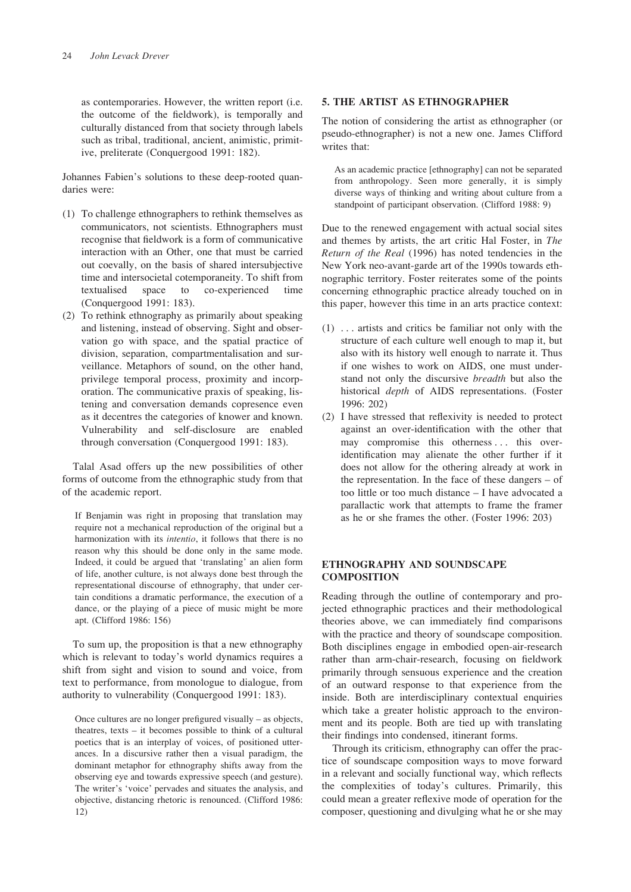as contemporaries. However, the written report (i.e. the outcome of the fieldwork), is temporally and culturally distanced from that society through labels such as tribal, traditional, ancient, animistic, primitive, preliterate (Conquergood 1991: 182).

Johannes Fabien's solutions to these deep-rooted quandaries were:

- (1) To challenge ethnographers to rethink themselves as communicators, not scientists. Ethnographers must recognise that fieldwork is a form of communicative interaction with an Other, one that must be carried out coevally, on the basis of shared intersubjective time and intersocietal cotemporaneity. To shift from textualised space to co-experienced time (Conquergood 1991: 183).
- (2) To rethink ethnography as primarily about speaking and listening, instead of observing. Sight and observation go with space, and the spatial practice of division, separation, compartmentalisation and surveillance. Metaphors of sound, on the other hand, privilege temporal process, proximity and incorporation. The communicative praxis of speaking, listening and conversation demands copresence even as it decentres the categories of knower and known. Vulnerability and self-disclosure are enabled through conversation (Conquergood 1991: 183).

Talal Asad offers up the new possibilities of other forms of outcome from the ethnographic study from that of the academic report.

If Benjamin was right in proposing that translation may require not a mechanical reproduction of the original but a harmonization with its *intentio*, it follows that there is no reason why this should be done only in the same mode. Indeed, it could be argued that 'translating' an alien form of life, another culture, is not always done best through the representational discourse of ethnography, that under certain conditions a dramatic performance, the execution of a dance, or the playing of a piece of music might be more apt. (Clifford 1986: 156)

To sum up, the proposition is that a new ethnography which is relevant to today's world dynamics requires a shift from sight and vision to sound and voice, from text to performance, from monologue to dialogue, from authority to vulnerability (Conquergood 1991: 183).

Once cultures are no longer prefigured visually – as objects, theatres, texts – it becomes possible to think of a cultural poetics that is an interplay of voices, of positioned utterances. In a discursive rather then a visual paradigm, the dominant metaphor for ethnography shifts away from the observing eye and towards expressive speech (and gesture). The writer's 'voice' pervades and situates the analysis, and objective, distancing rhetoric is renounced. (Clifford 1986: 12)

# **5. THE ARTIST AS ETHNOGRAPHER**

The notion of considering the artist as ethnographer (or pseudo-ethnographer) is not a new one. James Clifford writes that:

As an academic practice [ethnography] can not be separated from anthropology. Seen more generally, it is simply diverse ways of thinking and writing about culture from a standpoint of participant observation. (Clifford 1988: 9)

Due to the renewed engagement with actual social sites and themes by artists, the art critic Hal Foster, in *The Return of the Real* (1996) has noted tendencies in the New York neo-avant-garde art of the 1990s towards ethnographic territory. Foster reiterates some of the points concerning ethnographic practice already touched on in this paper, however this time in an arts practice context:

- $(1)$  ... artists and critics be familiar not only with the structure of each culture well enough to map it, but also with its history well enough to narrate it. Thus if one wishes to work on AIDS, one must understand not only the discursive *breadth* but also the historical *depth* of AIDS representations. (Foster 1996: 202)
- (2) I have stressed that reflexivity is needed to protect against an over-identification with the other that may compromise this otherness . . . this overidentification may alienate the other further if it does not allow for the othering already at work in the representation. In the face of these dangers – of too little or too much distance – I have advocated a parallactic work that attempts to frame the framer as he or she frames the other. (Foster 1996: 203)

# **ETHNOGRAPHY AND SOUNDSCAPE COMPOSITION**

Reading through the outline of contemporary and projected ethnographic practices and their methodological theories above, we can immediately find comparisons with the practice and theory of soundscape composition. Both disciplines engage in embodied open-air-research rather than arm-chair-research, focusing on fieldwork primarily through sensuous experience and the creation of an outward response to that experience from the inside. Both are interdisciplinary contextual enquiries which take a greater holistic approach to the environment and its people. Both are tied up with translating their findings into condensed, itinerant forms.

Through its criticism, ethnography can offer the practice of soundscape composition ways to move forward in a relevant and socially functional way, which reflects the complexities of today's cultures. Primarily, this could mean a greater reflexive mode of operation for the composer, questioning and divulging what he or she may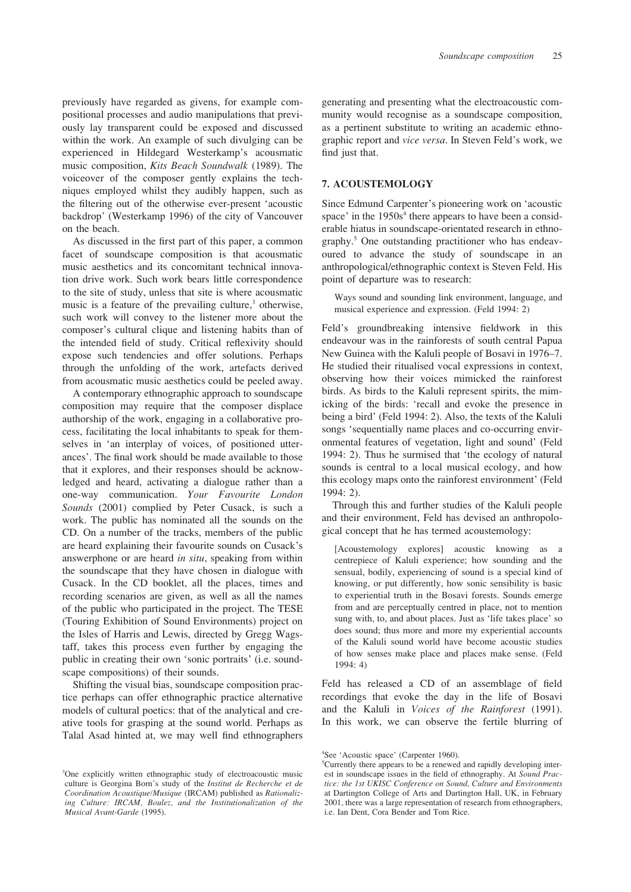previously have regarded as givens, for example compositional processes and audio manipulations that previously lay transparent could be exposed and discussed within the work. An example of such divulging can be experienced in Hildegard Westerkamp's acousmatic music composition, *Kits Beach Soundwalk* (1989). The voiceover of the composer gently explains the techniques employed whilst they audibly happen, such as the filtering out of the otherwise ever-present 'acoustic backdrop' (Westerkamp 1996) of the city of Vancouver on the beach.

As discussed in the first part of this paper, a common facet of soundscape composition is that acousmatic music aesthetics and its concomitant technical innovation drive work. Such work bears little correspondence to the site of study, unless that site is where acousmatic music is a feature of the prevailing culture, $3$  otherwise, such work will convey to the listener more about the composer's cultural clique and listening habits than of the intended field of study. Critical reflexivity should expose such tendencies and offer solutions. Perhaps through the unfolding of the work, artefacts derived from acousmatic music aesthetics could be peeled away.

A contemporary ethnographic approach to soundscape composition may require that the composer displace authorship of the work, engaging in a collaborative process, facilitating the local inhabitants to speak for themselves in 'an interplay of voices, of positioned utterances'. The final work should be made available to those that it explores, and their responses should be acknowledged and heard, activating a dialogue rather than a one-way communication. *Your Favourite London Sounds* (2001) complied by Peter Cusack, is such a work. The public has nominated all the sounds on the CD. On a number of the tracks, members of the public are heard explaining their favourite sounds on Cusack's answerphone or are heard *in situ*, speaking from within the soundscape that they have chosen in dialogue with Cusack. In the CD booklet, all the places, times and recording scenarios are given, as well as all the names of the public who participated in the project. The TESE (Touring Exhibition of Sound Environments) project on the Isles of Harris and Lewis, directed by Gregg Wagstaff, takes this process even further by engaging the public in creating their own 'sonic portraits' (i.e. soundscape compositions) of their sounds.

Shifting the visual bias, soundscape composition practice perhaps can offer ethnographic practice alternative models of cultural poetics: that of the analytical and creative tools for grasping at the sound world. Perhaps as Talal Asad hinted at, we may well find ethnographers

generating and presenting what the electroacoustic community would recognise as a soundscape composition, as a pertinent substitute to writing an academic ethnographic report and *vice versa*. In Steven Feld's work, we find just that.

### **7. ACOUSTEMOLOGY**

Since Edmund Carpenter's pioneering work on 'acoustic space' in the  $1950s<sup>4</sup>$  there appears to have been a considerable hiatus in soundscape-orientated research in ethnography.<sup>5</sup> One outstanding practitioner who has endeavoured to advance the study of soundscape in an anthropological/ethnographic context is Steven Feld. His point of departure was to research:

Ways sound and sounding link environment, language, and musical experience and expression. (Feld 1994: 2)

Feld's groundbreaking intensive fieldwork in this endeavour was in the rainforests of south central Papua New Guinea with the Kaluli people of Bosavi in 1976–7. He studied their ritualised vocal expressions in context, observing how their voices mimicked the rainforest birds. As birds to the Kaluli represent spirits, the mimicking of the birds: 'recall and evoke the presence in being a bird' (Feld 1994: 2). Also, the texts of the Kaluli songs 'sequentially name places and co-occurring environmental features of vegetation, light and sound' (Feld 1994: 2). Thus he surmised that 'the ecology of natural sounds is central to a local musical ecology, and how this ecology maps onto the rainforest environment' (Feld 1994: 2).

Through this and further studies of the Kaluli people and their environment, Feld has devised an anthropological concept that he has termed acoustemology:

[Acoustemology explores] acoustic knowing as a centrepiece of Kaluli experience; how sounding and the sensual, bodily, experiencing of sound is a special kind of knowing, or put differently, how sonic sensibility is basic to experiential truth in the Bosavi forests. Sounds emerge from and are perceptually centred in place, not to mention sung with, to, and about places. Just as 'life takes place' so does sound; thus more and more my experiential accounts of the Kaluli sound world have become acoustic studies of how senses make place and places make sense. (Feld 1994: 4)

Feld has released a CD of an assemblage of field recordings that evoke the day in the life of Bosavi and the Kaluli in *Voices of the Rainforest* (1991). In this work, we can observe the fertile blurring of

<sup>&</sup>lt;sup>3</sup>One explicitly written ethnographic study of electroacoustic music culture is Georgina Born's study of the *Institut de Recherche et de Coordination Acoustique/Musique* (IRCAM) published as *Rationalizing Culture: IRCAM, Boulez, and the Institutionalization of the Musical Avant-Garde* (1995).

<sup>4</sup> See 'Acoustic space' (Carpenter 1960).

<sup>5</sup> Currently there appears to be a renewed and rapidly developing interest in soundscape issues in the field of ethnography. At *Sound Practice: the 1st UKISC Conference on Sound, Culture and Environments* at Dartington College of Arts and Dartington Hall, UK, in February 2001, there was a large representation of research from ethnographers, i.e. Ian Dent, Cora Bender and Tom Rice.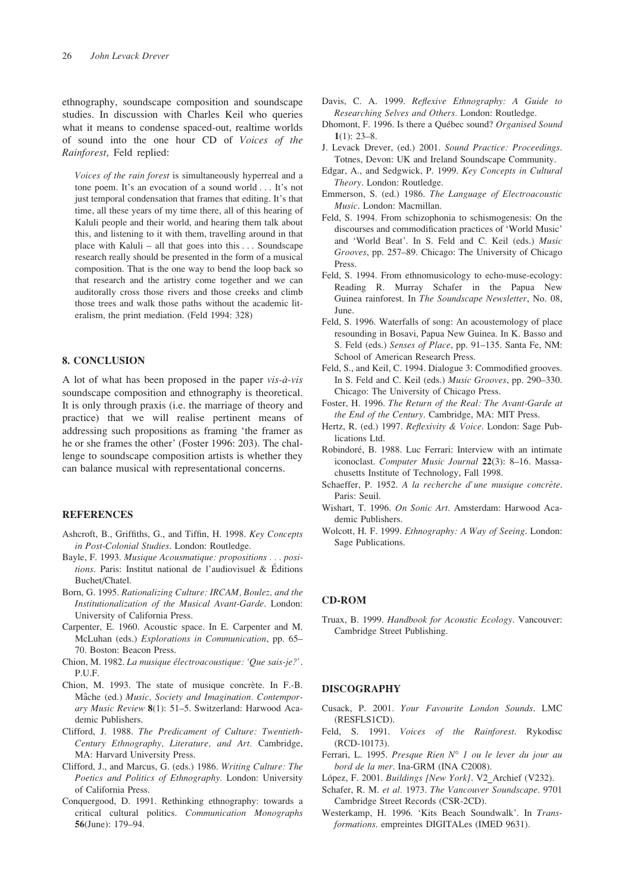ethnography, soundscape composition and soundscape studies. In discussion with Charles Keil who queries what it means to condense spaced-out, realtime worlds of sound into the one hour CD of *Voices of the Rainforest*, Feld replied:

*Voices of the rain forest* is simultaneously hyperreal and a tone poem. It's an evocation of a sound world . . . It's not just temporal condensation that frames that editing. It's that time, all these years of my time there, all of this hearing of Kaluli people and their world, and hearing them talk about this, and listening to it with them, travelling around in that place with Kaluli – all that goes into this . . . Soundscape research really should be presented in the form of a musical composition. That is the one way to bend the loop back so that research and the artistry come together and we can auditorally cross those rivers and those creeks and climb those trees and walk those paths without the academic literalism, the print mediation. (Feld 1994: 328)

# **8. CONCLUSION**

A lot of what has been proposed in the paper *vis-a`-vis* soundscape composition and ethnography is theoretical. It is only through praxis (i.e. the marriage of theory and practice) that we will realise pertinent means of addressing such propositions as framing 'the framer as he or she frames the other' (Foster 1996: 203). The challenge to soundscape composition artists is whether they can balance musical with representational concerns.

# **REFERENCES**

- Ashcroft, B., Griffiths, G., and Tiffin, H. 1998. *Key Concepts in Post-Colonial Studies*. London: Routledge.
- Bayle, F. 1993. *Musique Acousmatique: propositions . . . positions*. Paris: Institut national de l'audiovisuel & Éditions Buchet/Chatel.
- Born, G. 1995. *Rationalizing Culture: IRCAM, Boulez, and the Institutionalization of the Musical Avant-Garde*. London: University of California Press.
- Carpenter, E. 1960. Acoustic space. In E. Carpenter and M. McLuhan (eds.) *Explorations in Communication*, pp. 65– 70. Boston: Beacon Press.
- Chion, M. 1982. *La musique e´lectroacoustique: 'Que sais-je?'*. P.U.F.
- Chion, M. 1993. The state of musique concrète. In F.-B. Mâche (ed.) Music, Society and Imagination. Contempor*ary Music Review* **8**(1): 51–5. Switzerland: Harwood Academic Publishers.
- Clifford, J. 1988. *The Predicament of Culture: Twentieth-Century Ethnography, Literature, and Art.* Cambridge, MA: Harvard University Press.
- Clifford, J., and Marcus, G. (eds.) 1986. *Writing Culture: The Poetics and Politics of Ethnography.* London: University of California Press.
- Conquergood, D. 1991. Rethinking ethnography: towards a critical cultural politics. *Communication Monographs* **56**(June): 179–94.
- Davis, C. A. 1999. *Reflexive Ethnography: A Guide to Researching Selves and Others.* London: Routledge.
- Dhomont, F. 1996. Is there a Québec sound? *Organised Sound* **1**(1): 23–8.
- J. Levack Drever, (ed.) 2001. *Sound Practice: Proceedings*. Totnes, Devon: UK and Ireland Soundscape Community.
- Edgar, A., and Sedgwick, P. 1999. *Key Concepts in Cultural Theory*. London: Routledge.
- Emmerson, S. (ed.) 1986. *The Language of Electroacoustic Music*. London: Macmillan.
- Feld, S. 1994. From schizophonia to schismogenesis: On the discourses and commodification practices of 'World Music' and 'World Beat'. In S. Feld and C. Keil (eds.) *Music Grooves*, pp. 257–89. Chicago: The University of Chicago Press.
- Feld, S. 1994. From ethnomusicology to echo-muse-ecology: Reading R. Murray Schafer in the Papua New Guinea rainforest. In *The Soundscape Newsletter*, No. 08, June.
- Feld, S. 1996. Waterfalls of song: An acoustemology of place resounding in Bosavi, Papua New Guinea. In K. Basso and S. Feld (eds.) *Senses of Place*, pp. 91–135. Santa Fe, NM: School of American Research Press.
- Feld, S., and Keil, C. 1994. Dialogue 3: Commodified grooves. In S. Feld and C. Keil (eds.) *Music Grooves*, pp. 290–330. Chicago: The University of Chicago Press.
- Foster, H. 1996. *The Return of the Real: The Avant-Garde at the End of the Century*. Cambridge, MA: MIT Press.
- Hertz, R. (ed.) 1997. *Reflexivity & Voice*. London: Sage Publications Ltd.
- Robindoré, B. 1988. Luc Ferrari: Interview with an intimate iconoclast. *Computer Music Journal* **22**(3): 8–16. Massachusetts Institute of Technology, Fall 1998.
- Schaeffer, P. 1952. *A la recherche d'une musique concrète*. Paris: Seuil.
- Wishart, T. 1996. *On Sonic Art*. Amsterdam: Harwood Academic Publishers.
- Wolcott, H. F. 1999. *Ethnography: A Way of Seeing*. London: Sage Publications.

#### **CD-ROM**

Truax, B. 1999. *Handbook for Acoustic Ecology*. Vancouver: Cambridge Street Publishing.

#### **DISCOGRAPHY**

- Cusack, P. 2001. *Your Favourite London Sounds*. LMC (RESFLS1CD).
- Feld, S. 1991. *Voices of the Rainforest*. Rykodisc (RCD-10173).
- Ferrari, L. 1995. *Presque Rien N*° *1 ou le lever du jour au bord de la mer*. Ina-GRM (INA C2008).
- López, F. 2001. *Buildings [New York]*. V2\_Archief (V232).
- Schafer, R. M. *et al.* 1973. *The Vancouver Soundscape*. 9701 Cambridge Street Records (CSR-2CD).
- Westerkamp, H. 1996. 'Kits Beach Soundwalk'. In *Transformations*. empreintes DIGITALes (IMED 9631).